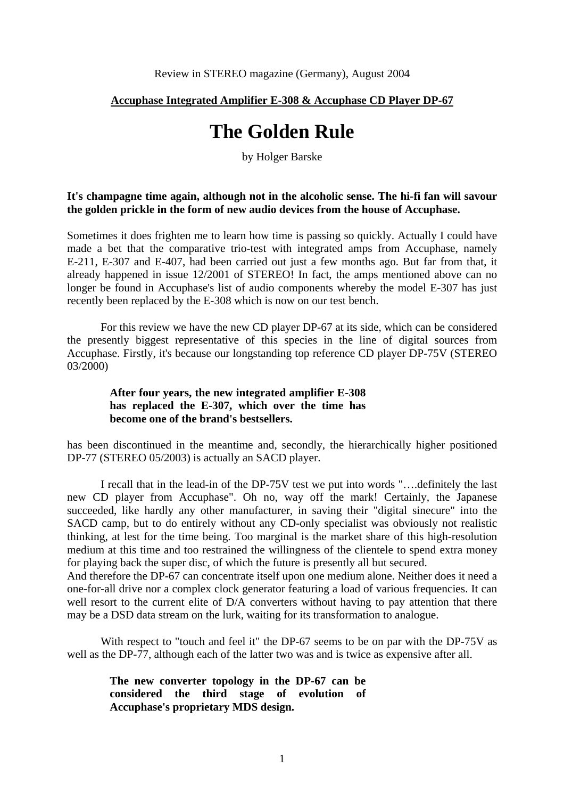#### **Accuphase Integrated Amplifier E-308 & Accuphase CD Player DP-67**

# **The Golden Rule**

by Holger Barske

### **It's champagne time again, although not in the alcoholic sense. The hi-fi fan will savour the golden prickle in the form of new audio devices from the house of Accuphase.**

Sometimes it does frighten me to learn how time is passing so quickly. Actually I could have made a bet that the comparative trio-test with integrated amps from Accuphase, namely E-211, E-307 and E-407, had been carried out just a few months ago. But far from that, it already happened in issue 12/2001 of STEREO! In fact, the amps mentioned above can no longer be found in Accuphase's list of audio components whereby the model E-307 has just recently been replaced by the E-308 which is now on our test bench.

 For this review we have the new CD player DP-67 at its side, which can be considered the presently biggest representative of this species in the line of digital sources from Accuphase. Firstly, it's because our longstanding top reference CD player DP-75V (STEREO 03/2000)

## **After four years, the new integrated amplifier E-308 has replaced the E-307, which over the time has become one of the brand's bestsellers.**

has been discontinued in the meantime and, secondly, the hierarchically higher positioned DP-77 (STEREO 05/2003) is actually an SACD player.

 I recall that in the lead-in of the DP-75V test we put into words "….definitely the last new CD player from Accuphase". Oh no, way off the mark! Certainly, the Japanese succeeded, like hardly any other manufacturer, in saving their "digital sinecure" into the SACD camp, but to do entirely without any CD-only specialist was obviously not realistic thinking, at lest for the time being. Too marginal is the market share of this high-resolution medium at this time and too restrained the willingness of the clientele to spend extra money for playing back the super disc, of which the future is presently all but secured.

And therefore the DP-67 can concentrate itself upon one medium alone. Neither does it need a one-for-all drive nor a complex clock generator featuring a load of various frequencies. It can well resort to the current elite of D/A converters without having to pay attention that there may be a DSD data stream on the lurk, waiting for its transformation to analogue.

With respect to "touch and feel it" the DP-67 seems to be on par with the DP-75V as well as the DP-77, although each of the latter two was and is twice as expensive after all.

**The new converter topology in the DP-67 can be considered the third stage of evolution of Accuphase's proprietary MDS design.**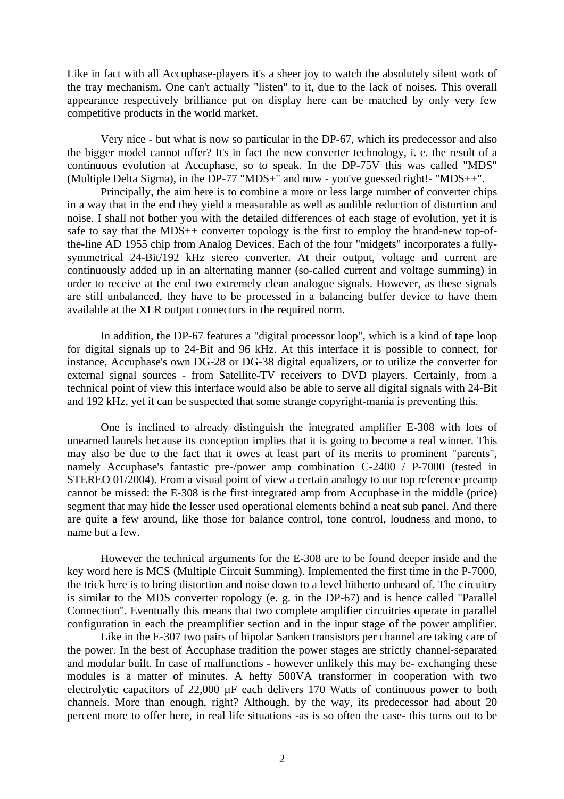Like in fact with all Accuphase-players it's a sheer joy to watch the absolutely silent work of the tray mechanism. One can't actually "listen" to it, due to the lack of noises. This overall appearance respectively brilliance put on display here can be matched by only very few competitive products in the world market.

 Very nice - but what is now so particular in the DP-67, which its predecessor and also the bigger model cannot offer? It's in fact the new converter technology, i. e. the result of a continuous evolution at Accuphase, so to speak. In the DP-75V this was called "MDS" (Multiple Delta Sigma), in the DP-77 "MDS+" and now - you've guessed right!- "MDS++".

 Principally, the aim here is to combine a more or less large number of converter chips in a way that in the end they yield a measurable as well as audible reduction of distortion and noise. I shall not bother you with the detailed differences of each stage of evolution, yet it is safe to say that the MDS++ converter topology is the first to employ the brand-new top-ofthe-line AD 1955 chip from Analog Devices. Each of the four "midgets" incorporates a fullysymmetrical 24-Bit/192 kHz stereo converter. At their output, voltage and current are continuously added up in an alternating manner (so-called current and voltage summing) in order to receive at the end two extremely clean analogue signals. However, as these signals are still unbalanced, they have to be processed in a balancing buffer device to have them available at the XLR output connectors in the required norm.

 In addition, the DP-67 features a "digital processor loop", which is a kind of tape loop for digital signals up to 24-Bit and 96 kHz. At this interface it is possible to connect, for instance, Accuphase's own DG-28 or DG-38 digital equalizers, or to utilize the converter for external signal sources - from Satellite-TV receivers to DVD players. Certainly, from a technical point of view this interface would also be able to serve all digital signals with 24-Bit and 192 kHz, yet it can be suspected that some strange copyright-mania is preventing this.

 One is inclined to already distinguish the integrated amplifier E-308 with lots of unearned laurels because its conception implies that it is going to become a real winner. This may also be due to the fact that it owes at least part of its merits to prominent "parents", namely Accuphase's fantastic pre-/power amp combination C-2400 / P-7000 (tested in STEREO 01/2004). From a visual point of view a certain analogy to our top reference preamp cannot be missed: the E-308 is the first integrated amp from Accuphase in the middle (price) segment that may hide the lesser used operational elements behind a neat sub panel. And there are quite a few around, like those for balance control, tone control, loudness and mono, to name but a few.

 However the technical arguments for the E-308 are to be found deeper inside and the key word here is MCS (Multiple Circuit Summing). Implemented the first time in the P-7000, the trick here is to bring distortion and noise down to a level hitherto unheard of. The circuitry is similar to the MDS converter topology (e. g. in the DP-67) and is hence called "Parallel Connection". Eventually this means that two complete amplifier circuitries operate in parallel configuration in each the preamplifier section and in the input stage of the power amplifier.

 Like in the E-307 two pairs of bipolar Sanken transistors per channel are taking care of the power. In the best of Accuphase tradition the power stages are strictly channel-separated and modular built. In case of malfunctions - however unlikely this may be- exchanging these modules is a matter of minutes. A hefty 500VA transformer in cooperation with two electrolytic capacitors of  $22,000 \mu$ F each delivers 170 Watts of continuous power to both channels. More than enough, right? Although, by the way, its predecessor had about 20 percent more to offer here, in real life situations -as is so often the case- this turns out to be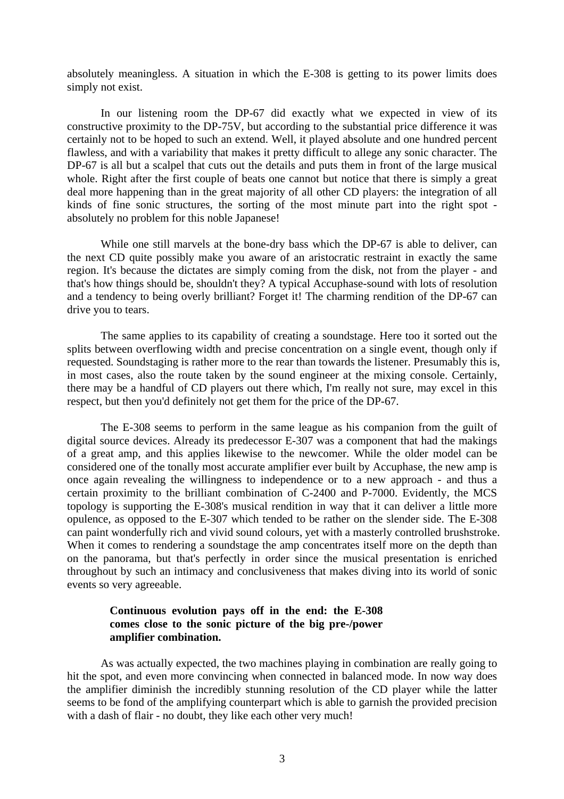absolutely meaningless. A situation in which the E-308 is getting to its power limits does simply not exist.

In our listening room the DP-67 did exactly what we expected in view of its constructive proximity to the DP-75V, but according to the substantial price difference it was certainly not to be hoped to such an extend. Well, it played absolute and one hundred percent flawless, and with a variability that makes it pretty difficult to allege any sonic character. The DP-67 is all but a scalpel that cuts out the details and puts them in front of the large musical whole. Right after the first couple of beats one cannot but notice that there is simply a great deal more happening than in the great majority of all other CD players: the integration of all kinds of fine sonic structures, the sorting of the most minute part into the right spot absolutely no problem for this noble Japanese!

 While one still marvels at the bone-dry bass which the DP-67 is able to deliver, can the next CD quite possibly make you aware of an aristocratic restraint in exactly the same region. It's because the dictates are simply coming from the disk, not from the player - and that's how things should be, shouldn't they? A typical Accuphase-sound with lots of resolution and a tendency to being overly brilliant? Forget it! The charming rendition of the DP-67 can drive you to tears.

 The same applies to its capability of creating a soundstage. Here too it sorted out the splits between overflowing width and precise concentration on a single event, though only if requested. Soundstaging is rather more to the rear than towards the listener. Presumably this is, in most cases, also the route taken by the sound engineer at the mixing console. Certainly, there may be a handful of CD players out there which, I'm really not sure, may excel in this respect, but then you'd definitely not get them for the price of the DP-67.

 The E-308 seems to perform in the same league as his companion from the guilt of digital source devices. Already its predecessor E-307 was a component that had the makings of a great amp, and this applies likewise to the newcomer. While the older model can be considered one of the tonally most accurate amplifier ever built by Accuphase, the new amp is once again revealing the willingness to independence or to a new approach - and thus a certain proximity to the brilliant combination of C-2400 and P-7000. Evidently, the MCS topology is supporting the E-308's musical rendition in way that it can deliver a little more opulence, as opposed to the E-307 which tended to be rather on the slender side. The E-308 can paint wonderfully rich and vivid sound colours, yet with a masterly controlled brushstroke. When it comes to rendering a soundstage the amp concentrates itself more on the depth than on the panorama, but that's perfectly in order since the musical presentation is enriched throughout by such an intimacy and conclusiveness that makes diving into its world of sonic events so very agreeable.

## **Continuous evolution pays off in the end: the E-308 comes close to the sonic picture of the big pre-/power amplifier combination.**

 As was actually expected, the two machines playing in combination are really going to hit the spot, and even more convincing when connected in balanced mode. In now way does the amplifier diminish the incredibly stunning resolution of the CD player while the latter seems to be fond of the amplifying counterpart which is able to garnish the provided precision with a dash of flair - no doubt, they like each other very much!